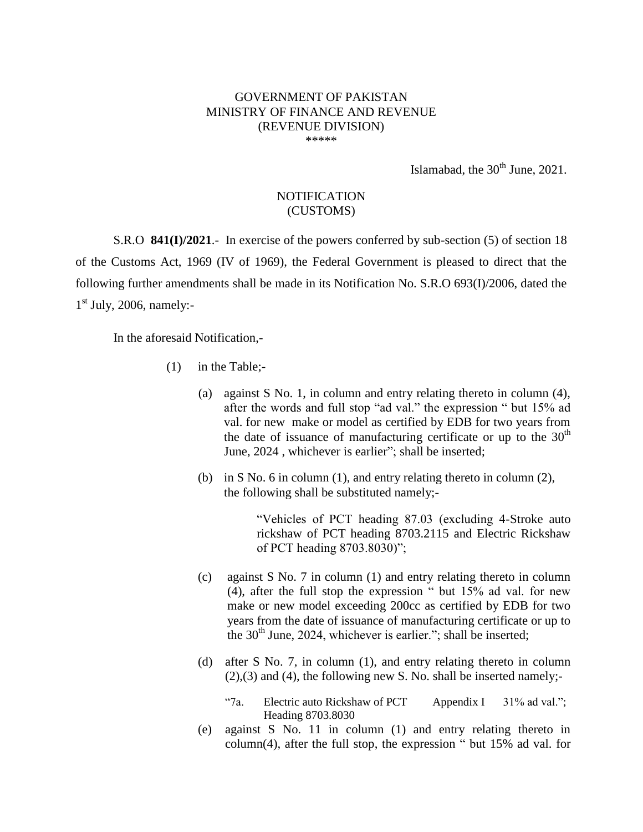## GOVERNMENT OF PAKISTAN MINISTRY OF FINANCE AND REVENUE (REVENUE DIVISION) \*\*\*\*\*

Islamabad, the  $30<sup>th</sup>$  June, 2021.

## **NOTIFICATION** (CUSTOMS)

S.R.O **841(I)/2021**.- In exercise of the powers conferred by sub-section (5) of section 18 of the Customs Act, 1969 (IV of 1969), the Federal Government is pleased to direct that the following further amendments shall be made in its Notification No. S.R.O 693(I)/2006, dated the 1<sup>st</sup> July, 2006, namely:-

In the aforesaid Notification,-

- (1) in the Table;-
	- (a) against S No. 1, in column and entry relating thereto in column (4), after the words and full stop "ad val." the expression " but 15% ad val. for new make or model as certified by EDB for two years from the date of issuance of manufacturing certificate or up to the  $30<sup>th</sup>$ June, 2024 , whichever is earlier"; shall be inserted;
	- (b) in S No. 6 in column (1), and entry relating thereto in column (2), the following shall be substituted namely;-

"Vehicles of PCT heading 87.03 (excluding 4-Stroke auto rickshaw of PCT heading 8703.2115 and Electric Rickshaw of PCT heading 8703.8030)";

- (c) against S No. 7 in column (1) and entry relating thereto in column (4), after the full stop the expression " but 15% ad val. for new make or new model exceeding 200cc as certified by EDB for two years from the date of issuance of manufacturing certificate or up to the  $30<sup>th</sup>$  June, 2024, whichever is earlier."; shall be inserted;
- (d) after S No. 7, in column (1), and entry relating thereto in column  $(2),(3)$  and  $(4)$ , the following new S. No. shall be inserted namely;-
	- "7a. Electric auto Rickshaw of PCT Heading 8703.8030 Appendix I  $31\%$  ad val.";
- (e) against S No. 11 in column (1) and entry relating thereto in column(4), after the full stop, the expression " but 15% ad val. for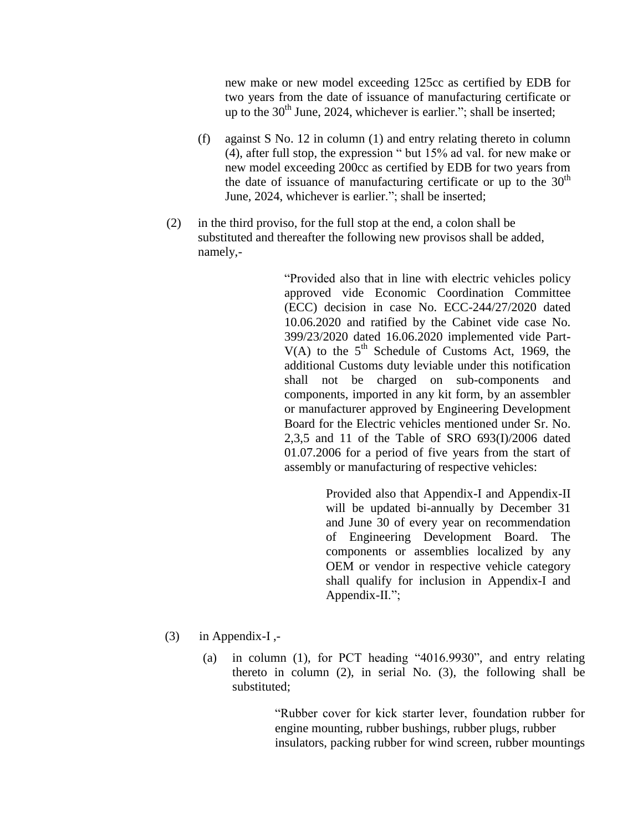new make or new model exceeding 125cc as certified by EDB for two years from the date of issuance of manufacturing certificate or up to the  $30<sup>th</sup>$  June, 2024, whichever is earlier."; shall be inserted;

- (f) against S No. 12 in column (1) and entry relating thereto in column (4), after full stop, the expression " but 15% ad val. for new make or new model exceeding 200cc as certified by EDB for two years from the date of issuance of manufacturing certificate or up to the  $30<sup>th</sup>$ June, 2024, whichever is earlier."; shall be inserted;
- (2) in the third proviso, for the full stop at the end, a colon shall be substituted and thereafter the following new provisos shall be added, namely,-

"Provided also that in line with electric vehicles policy approved vide Economic Coordination Committee (ECC) decision in case No. ECC-244/27/2020 dated 10.06.2020 and ratified by the Cabinet vide case No. 399/23/2020 dated 16.06.2020 implemented vide Part- $V(A)$  to the 5<sup>th</sup> Schedule of Customs Act, 1969, the additional Customs duty leviable under this notification shall not be charged on sub-components and components, imported in any kit form, by an assembler or manufacturer approved by Engineering Development Board for the Electric vehicles mentioned under Sr. No. 2,3,5 and 11 of the Table of SRO 693(I)/2006 dated 01.07.2006 for a period of five years from the start of assembly or manufacturing of respective vehicles:

> Provided also that Appendix-I and Appendix-II will be updated bi-annually by December 31 and June 30 of every year on recommendation of Engineering Development Board. The components or assemblies localized by any OEM or vendor in respective vehicle category shall qualify for inclusion in Appendix-I and Appendix-II.";

- $(3)$  in Appendix-I,-
	- (a) in column (1), for PCT heading "4016.9930", and entry relating thereto in column (2), in serial No. (3), the following shall be substituted;

"Rubber cover for kick starter lever, foundation rubber for engine mounting, rubber bushings, rubber plugs, rubber insulators, packing rubber for wind screen, rubber mountings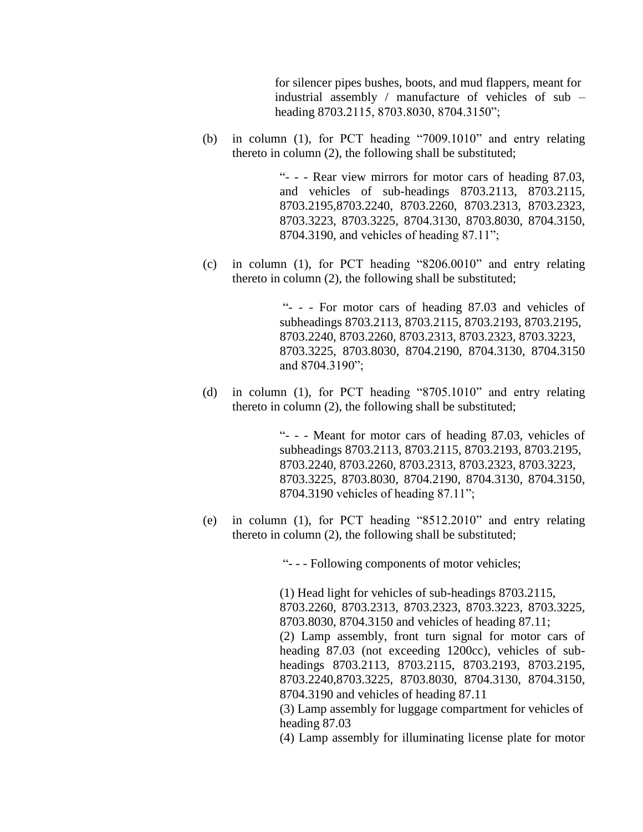for silencer pipes bushes, boots, and mud flappers, meant for industrial assembly / manufacture of vehicles of sub – heading 8703.2115, 8703.8030, 8704.3150";

(b) in column (1), for PCT heading "7009.1010" and entry relating thereto in column (2), the following shall be substituted;

> "- - - Rear view mirrors for motor cars of heading 87.03, and vehicles of sub-headings 8703.2113, 8703.2115, 8703.2195,8703.2240, 8703.2260, 8703.2313, 8703.2323, 8703.3223, 8703.3225, 8704.3130, 8703.8030, 8704.3150, 8704.3190, and vehicles of heading 87.11";

(c) in column (1), for PCT heading "8206.0010" and entry relating thereto in column (2), the following shall be substituted;

> "- - - For motor cars of heading 87.03 and vehicles of subheadings 8703.2113, 8703.2115, 8703.2193, 8703.2195, 8703.2240, 8703.2260, 8703.2313, 8703.2323, 8703.3223, 8703.3225, 8703.8030, 8704.2190, 8704.3130, 8704.3150 and 8704.3190";

(d) in column (1), for PCT heading "8705.1010" and entry relating thereto in column (2), the following shall be substituted;

> "- - - Meant for motor cars of heading 87.03, vehicles of subheadings 8703.2113, 8703.2115, 8703.2193, 8703.2195, 8703.2240, 8703.2260, 8703.2313, 8703.2323, 8703.3223, 8703.3225, 8703.8030, 8704.2190, 8704.3130, 8704.3150, 8704.3190 vehicles of heading 87.11";

(e) in column (1), for PCT heading "8512.2010" and entry relating thereto in column (2), the following shall be substituted;

"- - - Following components of motor vehicles;

(1) Head light for vehicles of sub-headings 8703.2115, 8703.2260, 8703.2313, 8703.2323, 8703.3223, 8703.3225, 8703.8030, 8704.3150 and vehicles of heading 87.11; (2) Lamp assembly, front turn signal for motor cars of heading 87.03 (not exceeding 1200cc), vehicles of subheadings 8703.2113, 8703.2115, 8703.2193, 8703.2195, 8703.2240,8703.3225, 8703.8030, 8704.3130, 8704.3150, 8704.3190 and vehicles of heading 87.11

(3) Lamp assembly for luggage compartment for vehicles of heading 87.03

(4) Lamp assembly for illuminating license plate for motor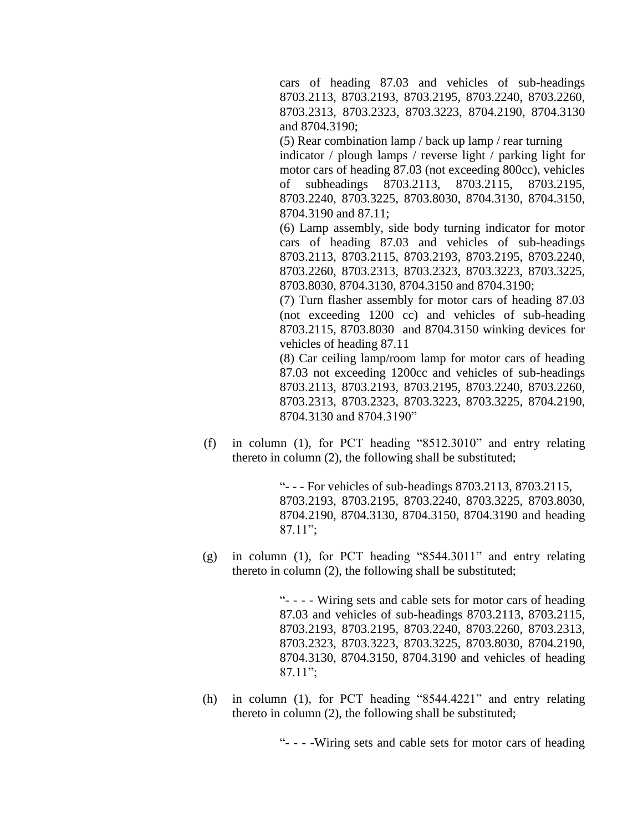cars of heading 87.03 and vehicles of sub-headings 8703.2113, 8703.2193, 8703.2195, 8703.2240, 8703.2260, 8703.2313, 8703.2323, 8703.3223, 8704.2190, 8704.3130 and 8704.3190;

(5) Rear combination lamp / back up lamp / rear turning indicator / plough lamps / reverse light / parking light for motor cars of heading 87.03 (not exceeding 800cc), vehicles of subheadings 8703.2113, 8703.2115, 8703.2195, 8703.2240, 8703.3225, 8703.8030, 8704.3130, 8704.3150, 8704.3190 and 87.11;

(6) Lamp assembly, side body turning indicator for motor cars of heading 87.03 and vehicles of sub-headings 8703.2113, 8703.2115, 8703.2193, 8703.2195, 8703.2240, 8703.2260, 8703.2313, 8703.2323, 8703.3223, 8703.3225, 8703.8030, 8704.3130, 8704.3150 and 8704.3190;

(7) Turn flasher assembly for motor cars of heading 87.03 (not exceeding 1200 cc) and vehicles of sub-heading 8703.2115, 8703.8030 and 8704.3150 winking devices for vehicles of heading 87.11

(8) Car ceiling lamp/room lamp for motor cars of heading 87.03 not exceeding 1200cc and vehicles of sub-headings 8703.2113, 8703.2193, 8703.2195, 8703.2240, 8703.2260, 8703.2313, 8703.2323, 8703.3223, 8703.3225, 8704.2190, 8704.3130 and 8704.3190"

(f) in column (1), for PCT heading "8512.3010" and entry relating thereto in column (2), the following shall be substituted;

> "- - - For vehicles of sub-headings 8703.2113, 8703.2115, 8703.2193, 8703.2195, 8703.2240, 8703.3225, 8703.8030, 8704.2190, 8704.3130, 8704.3150, 8704.3190 and heading 87.11";

(g) in column (1), for PCT heading "8544.3011" and entry relating thereto in column (2), the following shall be substituted;

> "- - - - Wiring sets and cable sets for motor cars of heading 87.03 and vehicles of sub-headings 8703.2113, 8703.2115, 8703.2193, 8703.2195, 8703.2240, 8703.2260, 8703.2313, 8703.2323, 8703.3223, 8703.3225, 8703.8030, 8704.2190, 8704.3130, 8704.3150, 8704.3190 and vehicles of heading 87.11";

(h) in column (1), for PCT heading "8544.4221" and entry relating thereto in column (2), the following shall be substituted;

"- - - -Wiring sets and cable sets for motor cars of heading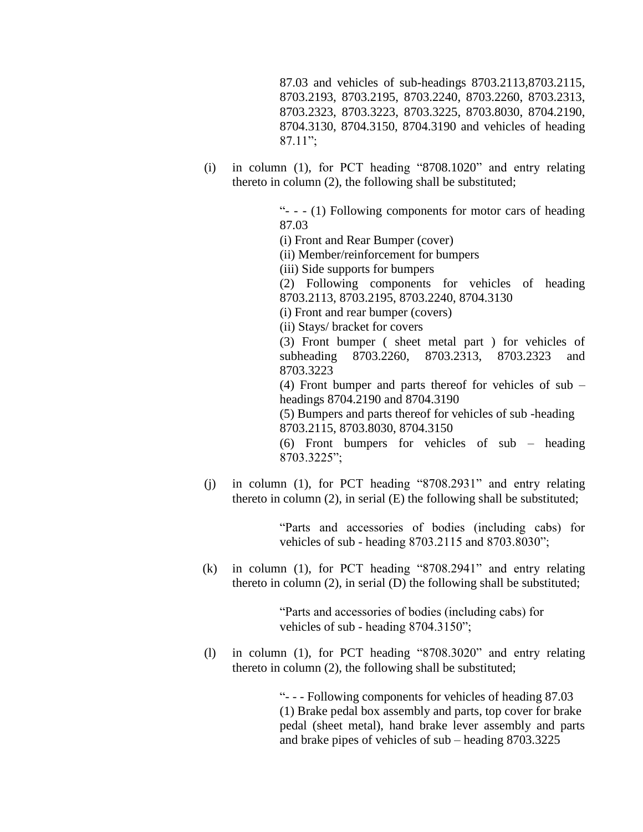87.03 and vehicles of sub-headings 8703.2113,8703.2115, 8703.2193, 8703.2195, 8703.2240, 8703.2260, 8703.2313, 8703.2323, 8703.3223, 8703.3225, 8703.8030, 8704.2190, 8704.3130, 8704.3150, 8704.3190 and vehicles of heading 87.11";

(i) in column (1), for PCT heading "8708.1020" and entry relating thereto in column (2), the following shall be substituted;

> "- - - (1) Following components for motor cars of heading 87.03

(i) Front and Rear Bumper (cover)

(ii) Member/reinforcement for bumpers

(iii) Side supports for bumpers

(2) Following components for vehicles of heading 8703.2113, 8703.2195, 8703.2240, 8704.3130

(i) Front and rear bumper (covers)

(ii) Stays/ bracket for covers

(3) Front bumper ( sheet metal part ) for vehicles of subheading 8703.2260, 8703.2313, 8703.2323 and 8703.3223

(4) Front bumper and parts thereof for vehicles of sub – headings 8704.2190 and 8704.3190

(5) Bumpers and parts thereof for vehicles of sub -heading 8703.2115, 8703.8030, 8704.3150

(6) Front bumpers for vehicles of sub – heading 8703.3225";

(j) in column (1), for PCT heading "8708.2931" and entry relating thereto in column  $(2)$ , in serial  $(E)$  the following shall be substituted;

> "Parts and accessories of bodies (including cabs) for vehicles of sub - heading 8703.2115 and 8703.8030";

(k) in column (1), for PCT heading "8708.2941" and entry relating thereto in column (2), in serial (D) the following shall be substituted;

> "Parts and accessories of bodies (including cabs) for vehicles of sub - heading 8704.3150";

(l) in column (1), for PCT heading "8708.3020" and entry relating thereto in column (2), the following shall be substituted;

> "- - - Following components for vehicles of heading 87.03 (1) Brake pedal box assembly and parts, top cover for brake pedal (sheet metal), hand brake lever assembly and parts and brake pipes of vehicles of sub – heading 8703.3225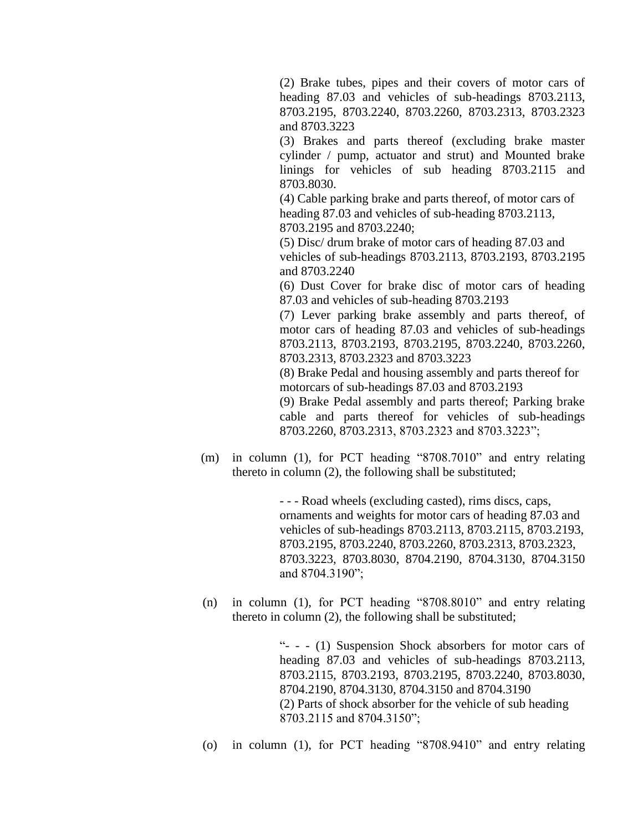(2) Brake tubes, pipes and their covers of motor cars of heading 87.03 and vehicles of sub-headings 8703.2113, 8703.2195, 8703.2240, 8703.2260, 8703.2313, 8703.2323 and 8703.3223

(3) Brakes and parts thereof (excluding brake master cylinder / pump, actuator and strut) and Mounted brake linings for vehicles of sub heading 8703.2115 and 8703.8030.

(4) Cable parking brake and parts thereof, of motor cars of heading 87.03 and vehicles of sub-heading 8703.2113, 8703.2195 and 8703.2240;

(5) Disc/ drum brake of motor cars of heading 87.03 and vehicles of sub-headings 8703.2113, 8703.2193, 8703.2195 and 8703.2240

(6) Dust Cover for brake disc of motor cars of heading 87.03 and vehicles of sub-heading 8703.2193

(7) Lever parking brake assembly and parts thereof, of motor cars of heading 87.03 and vehicles of sub-headings 8703.2113, 8703.2193, 8703.2195, 8703.2240, 8703.2260, 8703.2313, 8703.2323 and 8703.3223

(8) Brake Pedal and housing assembly and parts thereof for motorcars of sub-headings 87.03 and 8703.2193

(9) Brake Pedal assembly and parts thereof; Parking brake cable and parts thereof for vehicles of sub-headings 8703.2260, 8703.2313, 8703.2323 and 8703.3223";

(m) in column (1), for PCT heading "8708.7010" and entry relating thereto in column (2), the following shall be substituted;

> - - - Road wheels (excluding casted), rims discs, caps, ornaments and weights for motor cars of heading 87.03 and vehicles of sub-headings 8703.2113, 8703.2115, 8703.2193, 8703.2195, 8703.2240, 8703.2260, 8703.2313, 8703.2323, 8703.3223, 8703.8030, 8704.2190, 8704.3130, 8704.3150 and 8704.3190";

(n) in column (1), for PCT heading "8708.8010" and entry relating thereto in column (2), the following shall be substituted;

> "- - - (1) Suspension Shock absorbers for motor cars of heading 87.03 and vehicles of sub-headings 8703.2113, 8703.2115, 8703.2193, 8703.2195, 8703.2240, 8703.8030, 8704.2190, 8704.3130, 8704.3150 and 8704.3190 (2) Parts of shock absorber for the vehicle of sub heading 8703.2115 and 8704.3150";

(o) in column (1), for PCT heading "8708.9410" and entry relating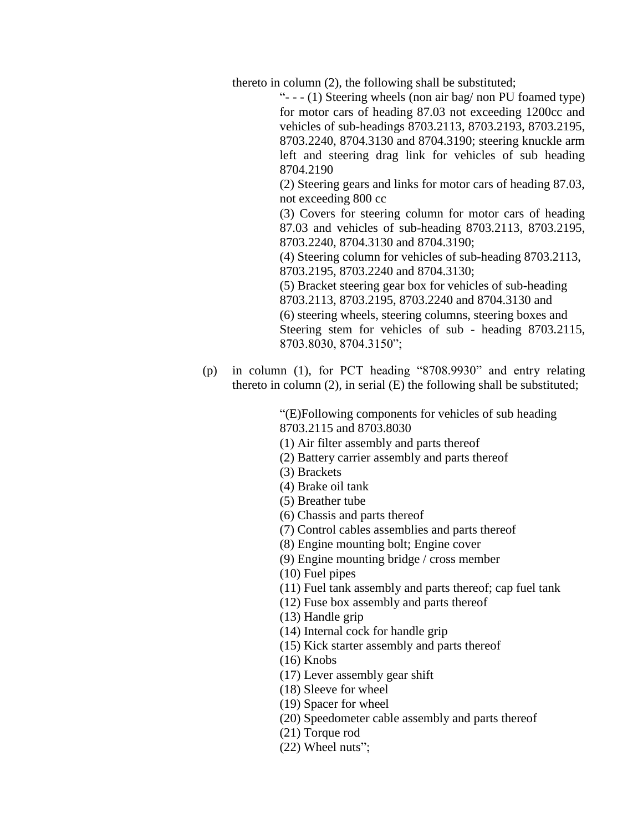thereto in column (2), the following shall be substituted;

"- - - (1) Steering wheels (non air bag/ non PU foamed type) for motor cars of heading 87.03 not exceeding 1200cc and vehicles of sub-headings 8703.2113, 8703.2193, 8703.2195, 8703.2240, 8704.3130 and 8704.3190; steering knuckle arm left and steering drag link for vehicles of sub heading 8704.2190

(2) Steering gears and links for motor cars of heading 87.03, not exceeding 800 cc

(3) Covers for steering column for motor cars of heading 87.03 and vehicles of sub-heading 8703.2113, 8703.2195, 8703.2240, 8704.3130 and 8704.3190;

(4) Steering column for vehicles of sub-heading 8703.2113, 8703.2195, 8703.2240 and 8704.3130;

(5) Bracket steering gear box for vehicles of sub-heading 8703.2113, 8703.2195, 8703.2240 and 8704.3130 and (6) steering wheels, steering columns, steering boxes and Steering stem for vehicles of sub - heading 8703.2115, 8703.8030, 8704.3150";

(p) in column (1), for PCT heading "8708.9930" and entry relating thereto in column  $(2)$ , in serial  $(E)$  the following shall be substituted;

> "(E)Following components for vehicles of sub heading 8703.2115 and 8703.8030

- (1) Air filter assembly and parts thereof
- (2) Battery carrier assembly and parts thereof
- (3) Brackets
- (4) Brake oil tank
- (5) Breather tube
- (6) Chassis and parts thereof
- (7) Control cables assemblies and parts thereof
- (8) Engine mounting bolt; Engine cover
- (9) Engine mounting bridge / cross member
- (10) Fuel pipes
- (11) Fuel tank assembly and parts thereof; cap fuel tank
- (12) Fuse box assembly and parts thereof
- (13) Handle grip
- (14) Internal cock for handle grip
- (15) Kick starter assembly and parts thereof
- (16) Knobs
- (17) Lever assembly gear shift
- (18) Sleeve for wheel
- (19) Spacer for wheel
- (20) Speedometer cable assembly and parts thereof
- (21) Torque rod
- (22) Wheel nuts";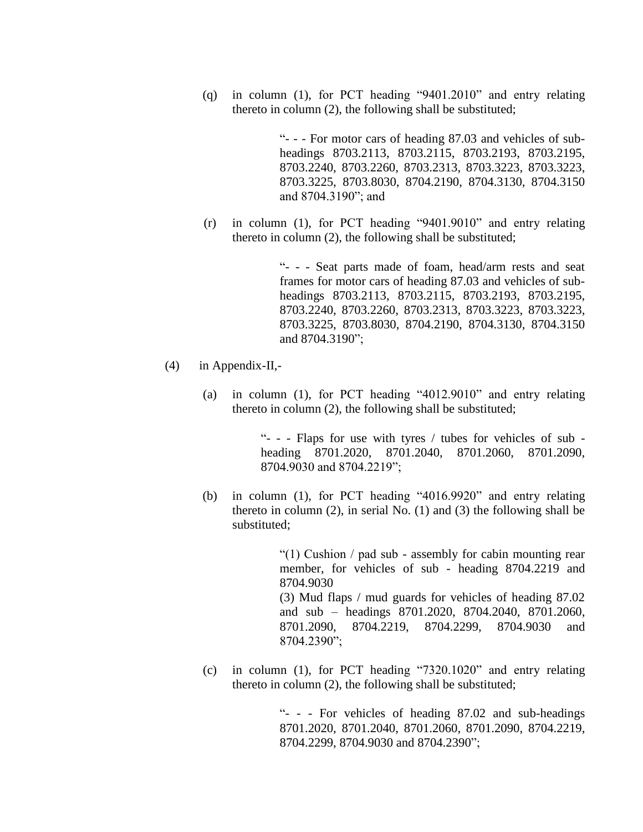(q) in column (1), for PCT heading "9401.2010" and entry relating thereto in column (2), the following shall be substituted;

> "- - - For motor cars of heading 87.03 and vehicles of subheadings 8703.2113, 8703.2115, 8703.2193, 8703.2195, 8703.2240, 8703.2260, 8703.2313, 8703.3223, 8703.3223, 8703.3225, 8703.8030, 8704.2190, 8704.3130, 8704.3150 and 8704.3190"; and

(r) in column (1), for PCT heading "9401.9010" and entry relating thereto in column (2), the following shall be substituted;

> "- - - Seat parts made of foam, head/arm rests and seat frames for motor cars of heading 87.03 and vehicles of subheadings 8703.2113, 8703.2115, 8703.2193, 8703.2195, 8703.2240, 8703.2260, 8703.2313, 8703.3223, 8703.3223, 8703.3225, 8703.8030, 8704.2190, 8704.3130, 8704.3150 and 8704.3190";

- (4) in Appendix-II,-
	- (a) in column (1), for PCT heading "4012.9010" and entry relating thereto in column (2), the following shall be substituted;

"- - - Flaps for use with tyres / tubes for vehicles of sub heading 8701.2020, 8701.2040, 8701.2060, 8701.2090, 8704.9030 and 8704.2219";

(b) in column (1), for PCT heading "4016.9920" and entry relating thereto in column  $(2)$ , in serial No.  $(1)$  and  $(3)$  the following shall be substituted;

> "(1) Cushion / pad sub - assembly for cabin mounting rear member, for vehicles of sub - heading 8704.2219 and 8704.9030 (3) Mud flaps / mud guards for vehicles of heading 87.02 and sub – headings 8701.2020, 8704.2040, 8701.2060, 8701.2090, 8704.2219, 8704.2299, 8704.9030 and 8704.2390";

(c) in column (1), for PCT heading "7320.1020" and entry relating thereto in column (2), the following shall be substituted;

> "- - - For vehicles of heading 87.02 and sub-headings 8701.2020, 8701.2040, 8701.2060, 8701.2090, 8704.2219, 8704.2299, 8704.9030 and 8704.2390";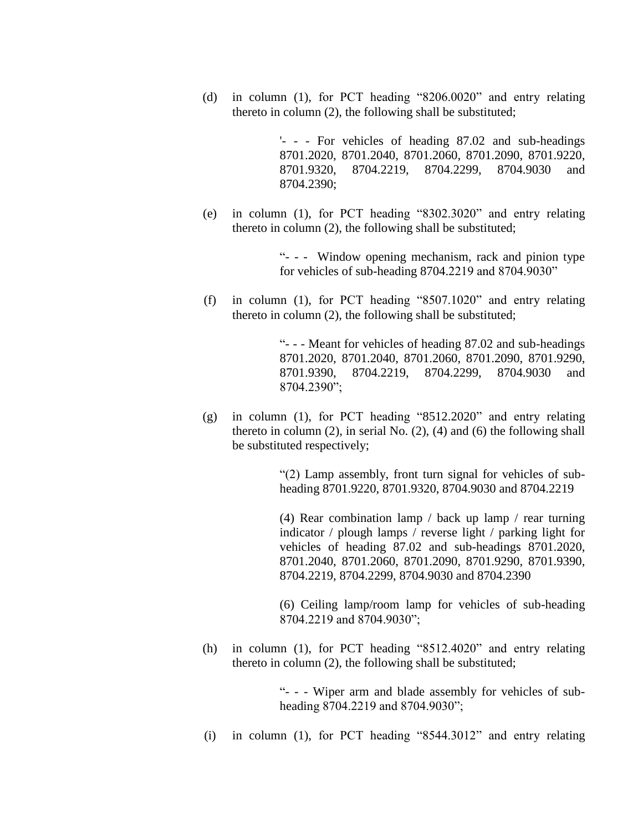(d) in column (1), for PCT heading "8206.0020" and entry relating thereto in column (2), the following shall be substituted;

> '- - - For vehicles of heading 87.02 and sub-headings 8701.2020, 8701.2040, 8701.2060, 8701.2090, 8701.9220, 8701.9320, 8704.2219, 8704.2299, 8704.9030 and 8704.2390;

(e) in column (1), for PCT heading "8302.3020" and entry relating thereto in column (2), the following shall be substituted;

> "- - - Window opening mechanism, rack and pinion type for vehicles of sub-heading 8704.2219 and 8704.9030"

(f) in column (1), for PCT heading "8507.1020" and entry relating thereto in column (2), the following shall be substituted;

> "- - - Meant for vehicles of heading 87.02 and sub-headings 8701.2020, 8701.2040, 8701.2060, 8701.2090, 8701.9290, 8701.9390, 8704.2219, 8704.2299, 8704.9030 and 8704.2390";

(g) in column (1), for PCT heading "8512.2020" and entry relating thereto in column  $(2)$ , in serial No.  $(2)$ ,  $(4)$  and  $(6)$  the following shall be substituted respectively;

> "(2) Lamp assembly, front turn signal for vehicles of subheading 8701.9220, 8701.9320, 8704.9030 and 8704.2219

> (4) Rear combination lamp / back up lamp / rear turning indicator / plough lamps / reverse light / parking light for vehicles of heading 87.02 and sub-headings 8701.2020, 8701.2040, 8701.2060, 8701.2090, 8701.9290, 8701.9390, 8704.2219, 8704.2299, 8704.9030 and 8704.2390

> (6) Ceiling lamp/room lamp for vehicles of sub-heading 8704.2219 and 8704.9030";

(h) in column (1), for PCT heading "8512.4020" and entry relating thereto in column (2), the following shall be substituted;

> "- - - Wiper arm and blade assembly for vehicles of subheading 8704.2219 and 8704.9030";

(i) in column (1), for PCT heading "8544.3012" and entry relating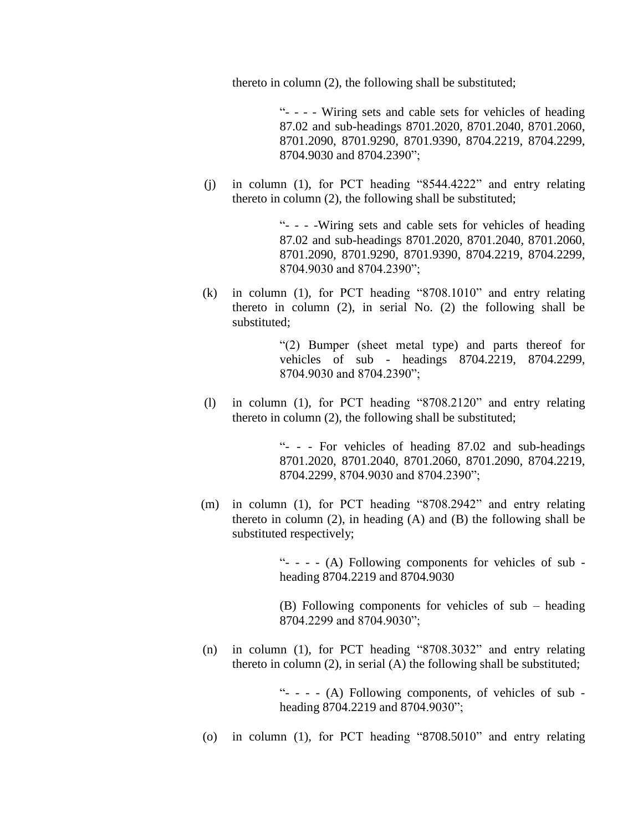thereto in column (2), the following shall be substituted;

"- - - - Wiring sets and cable sets for vehicles of heading 87.02 and sub-headings 8701.2020, 8701.2040, 8701.2060, 8701.2090, 8701.9290, 8701.9390, 8704.2219, 8704.2299, 8704.9030 and 8704.2390";

(j) in column (1), for PCT heading "8544.4222" and entry relating thereto in column (2), the following shall be substituted;

> "- - - -Wiring sets and cable sets for vehicles of heading 87.02 and sub-headings 8701.2020, 8701.2040, 8701.2060, 8701.2090, 8701.9290, 8701.9390, 8704.2219, 8704.2299, 8704.9030 and 8704.2390";

(k) in column (1), for PCT heading "8708.1010" and entry relating thereto in column (2), in serial No. (2) the following shall be substituted;

> "(2) Bumper (sheet metal type) and parts thereof for vehicles of sub - headings 8704.2219, 8704.2299, 8704.9030 and 8704.2390";

(l) in column (1), for PCT heading "8708.2120" and entry relating thereto in column (2), the following shall be substituted;

> "- - - For vehicles of heading 87.02 and sub-headings 8701.2020, 8701.2040, 8701.2060, 8701.2090, 8704.2219, 8704.2299, 8704.9030 and 8704.2390";

(m) in column (1), for PCT heading "8708.2942" and entry relating thereto in column (2), in heading (A) and (B) the following shall be substituted respectively;

> "- - - - (A) Following components for vehicles of sub heading 8704.2219 and 8704.9030

> (B) Following components for vehicles of sub – heading 8704.2299 and 8704.9030";

(n) in column (1), for PCT heading "8708.3032" and entry relating thereto in column (2), in serial (A) the following shall be substituted;

> "- - - - (A) Following components, of vehicles of sub heading 8704.2219 and 8704.9030";

(o) in column (1), for PCT heading "8708.5010" and entry relating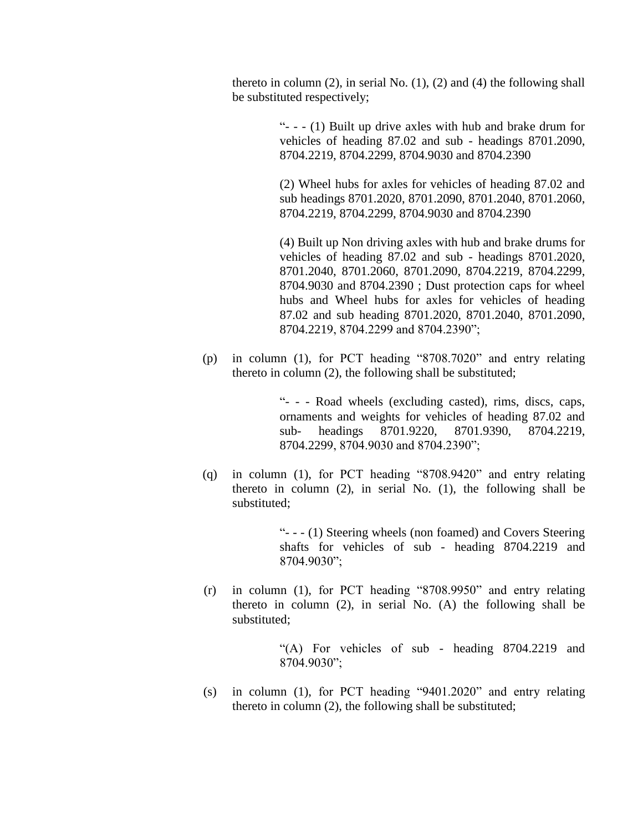thereto in column  $(2)$ , in serial No.  $(1)$ ,  $(2)$  and  $(4)$  the following shall be substituted respectively;

> "- - - (1) Built up drive axles with hub and brake drum for vehicles of heading 87.02 and sub - headings 8701.2090, 8704.2219, 8704.2299, 8704.9030 and 8704.2390

> (2) Wheel hubs for axles for vehicles of heading 87.02 and sub headings 8701.2020, 8701.2090, 8701.2040, 8701.2060, 8704.2219, 8704.2299, 8704.9030 and 8704.2390

> (4) Built up Non driving axles with hub and brake drums for vehicles of heading 87.02 and sub - headings 8701.2020, 8701.2040, 8701.2060, 8701.2090, 8704.2219, 8704.2299, 8704.9030 and 8704.2390 ; Dust protection caps for wheel hubs and Wheel hubs for axles for vehicles of heading 87.02 and sub heading 8701.2020, 8701.2040, 8701.2090, 8704.2219, 8704.2299 and 8704.2390";

(p) in column (1), for PCT heading "8708.7020" and entry relating thereto in column (2), the following shall be substituted;

> "- - - Road wheels (excluding casted), rims, discs, caps, ornaments and weights for vehicles of heading 87.02 and sub- headings 8701.9220, 8701.9390, 8704.2219, 8704.2299, 8704.9030 and 8704.2390";

(q) in column (1), for PCT heading "8708.9420" and entry relating thereto in column (2), in serial No. (1), the following shall be substituted;

> "- - - (1) Steering wheels (non foamed) and Covers Steering shafts for vehicles of sub - heading 8704.2219 and 8704.9030";

(r) in column (1), for PCT heading "8708.9950" and entry relating thereto in column (2), in serial No. (A) the following shall be substituted;

> "(A) For vehicles of sub - heading 8704.2219 and 8704.9030";

(s) in column (1), for PCT heading "9401.2020" and entry relating thereto in column (2), the following shall be substituted;